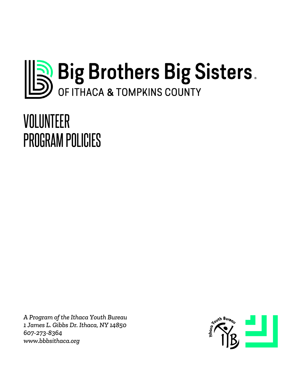

# VOLUNTEER PROGRAM POLICIES

*A Program of the Ithaca Youth Bureau 1 James L. Gibbs Dr. Ithaca, NY 14850 607-273-8364 www.bbbsithaca.org*

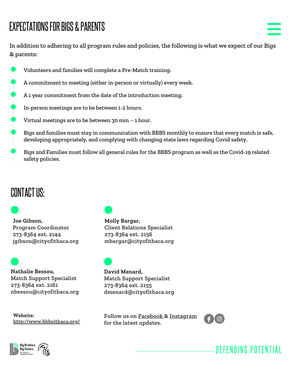# EXPECTATIONS FOR BIGS & PARENTS

In addition to adhering to all program rules and policies, the following is what we expect of our Bigs & parents:

- Volunteers and families will complete a Pre-Match training.
- A commitment to meeting (either in-person or virtually) every week.
- A 1 year commitment from the date of the introduction meeting.
- In-person meetings are to be between 1-2 hours.
- Virtual meetings are to be between 30 min 1 hour.
- Bigs and families must stay in communication with BBBS monthly to ensure that every match is safe, developing appropriately, and complying with changing state laws regarding Covid safety.
- Bigs and Families must follow all general rules for the BBBS program as well as the Covid-19 related safety policies.

# CONTACT US:

**Joe Gibson,** Program Coordinator 273-8364 ext. 2144 jgibson@cityofithaca.org

**Nathalie Bessou,** Match Support Specialist 273-8364 ext. 2161 nbessou@cityofithaca.org

**Website:** <http://www.bbbsithaca.org/>



**Molly Bargar,** Client Relations Specialist 273-8364 ext. 2156 mbargar@cityofithaca.org

**David Menard,** Match Support Specialist 273-8364 ext. 2155 dmenard@cityofithaca.org

Follow us on [Facebook](https://www.facebook.com/BBBSithaca) & [Instagram](https://www.instagram.com/bbbsithaca/) for the latest updates.



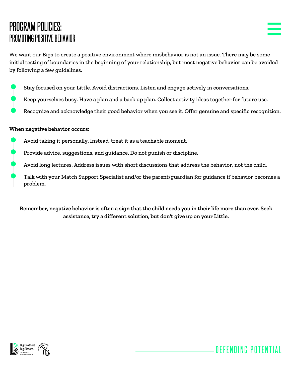# PROGRAM POLICIES: PROMOTING POSITIVE BEHAVIOR



DEFENDING POTENTIAL

We want our Bigs to create a positive environment where misbehavior is not an issue. There may be some initial testing of boundaries in the beginning of your relationship, but most negative behavior can be avoided by following a few guidelines.

- Stay focused on your Little. Avoid distractions. Listen and engage actively in conversations.
- Keep yourselves busy. Have a plan and a back up plan. Collect activity ideas together for future use.
- Recognize and acknowledge their good behavior when you see it. Offer genuine and specific recognition.

#### **When negative behavior occurs:**

- Avoid taking it personally. Instead, treat it as a teachable moment.
- Provide advice, suggestions, and guidance. Do not punish or discipline.
- Avoid long lectures. Address issues with short discussions that address the behavior, not the child.
- Talk with your Match Support Specialist and/or the parent/guardian for guidance if behavior becomes a problem.

Remember, negative behavior is often a sign that the child needs you in their life more than ever. Seek **assistance, try a different solution, but don't give up on your Little.**

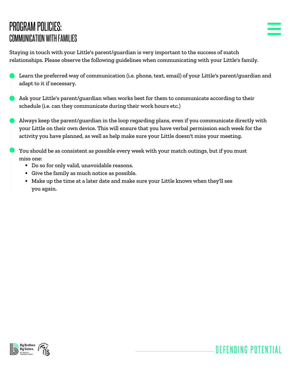# PROGRAM POLICIES: COMMUNICATION WITHFAMILIES

DEFENDING POTENTIAL

Staying in touch with your Little's parent/guardian is very important to the success of match relationships. Please observe the following guidelines when communicating with your Little's family.

- Learn the preferred way of communication (i.e. phone, text, email) of your Little's parent/guardian and adapt to it if necessary.
- Ask your Little's parent/guardian when works best for them to communicate according to their schedule (i.e. can they communicate during their work hours etc.)
- Always keep the parent/guardian in the loop regarding plans, even if you communicate directly with your Little on their own device. This will ensure that you have verbal permission each week for the activity you have planned, as well as help make sure your Little doesn't miss your meeting.

You should be as consistent as possible every week with your match outings, but if you must miss one:

- Do so for only valid, unavoidable reasons.
- Give the family as much notice as possible.
- Make up the time at a later date and make sure your Little knows when they'll see you again.

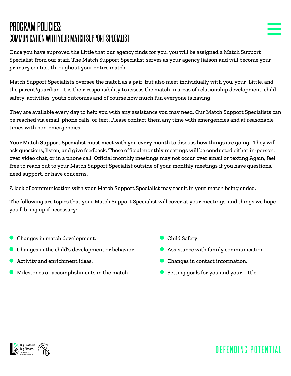# PROGRAM POLICIES: COMMUNICATION WITH YOUR MATCH SUPPORT SPECIALIST

Once you have approved the Little that our agency finds for you, you will be assigned a Match Support Specialist from our staff. The Match Support Specialist serves as your agency liaison and will become your primary contact throughout your entire match.

Match Support Specialists oversee the match as a pair, but also meet individually with you, your Little, and the parent/guardian. It is their responsibility to assess the match in areas of relationship development, child safety, activities, youth outcomes and of course how much fun everyone is having!

They are available every day to help you with any assistance you may need. Our Match Support Specialists can be reached via email, phone calls, or text. Please contact them any time with emergencies and at reasonable times with non-emergencies.

**Your Match Support Specialist must meet with you every month** to discuss how things are going. They will ask questions, listen, and give feedback. These official monthly meetings will be conducted either in-person, over video chat, or in a phone call. Official monthly meetings may not occur over email or texting Again, feel free to reach out to your Match Support Specialist outside of your monthly meetings if you have questions, need support, or have concerns.

A lack of communication with your Match Support Specialist may result in your match being ended.

The following are topics that your Match Support Specialist will cover at your meetings, and things we hope you'll bring up if necessary:

- Changes in match development.
- Changes in the child's development or behavior.
- Activity and enrichment ideas.
- Milestones or accomplishments in the match.
- **Child Safety**
- Assistance with family communication.
- Changes in contact information.
- Setting goals for you and your Little.

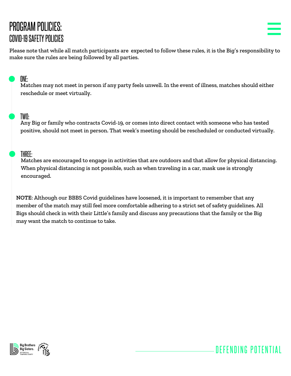# PROGRAM POLICIES: COVID-19 SAFETY POLICIES

DEFENDING POTENTIAL

Please note that while all match participants are expected to follow these rules, it is the Big's responsibility to make sure the rules are being followed by all parties.

#### ONE:

Matches may not meet in person if any party feels unwell. In the event of illness, matches should either reschedule or meet virtually.

#### TWO:

Any Big or family who contracts Covid-19, or comes into direct contact with someone who has tested positive, should not meet in person. That week's meeting should be rescheduled or conducted virtually.

#### THREE:

Matches are encouraged to engage in activities that are outdoors and that allow for physical distancing. When physical distancing is not possible, such as when traveling in a car, mask use is strongly encouraged.

**NOTE**: Although our BBBS Covid guidelines have loosened, it is important to remember that any member of the match may still feel more comfortable adhering to a strict set of safety guidelines. All Bigs should check in with their Little's family and discuss any precautions that the family or the Big may want the match to continue to take.

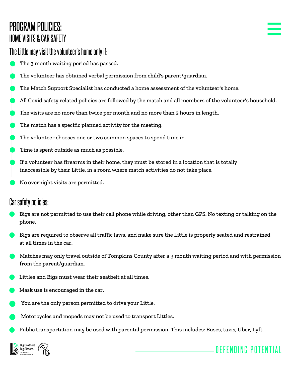# PROGRAM POLICIES: HOME VISITS & CAR SAFETY

- The 3 month waiting period has passed.
- The volunteer has obtained verbal permission from child's parent/guardian.
- The Match Support Specialist has conducted a home assessment of the volunteer's home.
- All Covid safety related policies are followed by the match and all members of the volunteer's household.
- The visits are no more than twice per month and no more than 2 hours in length.
- The match has a specific planned activity for the meeting.
- The volunteer chooses one or two common spaces to spend time in.
- Time is spent outside as much as possible.
- If a volunteer has firearms in their home, they must be stored in a location that is totally inaccessible by their Little, in a room where match activities do not take place.
- No overnight visits are permitted.

### Car safety policies:

- Bigs are not permitted to use their cell phone while driving, other than GPS. No texting or talking on the phone.
- Bigs are required to observe all traffic laws, and make sure the Little is properly seated and restrained at all times in the car.
- Matches may only travel outside of Tompkins County after a 3 month waiting period and with permission from the parent/guardian.
- Littles and Bigs must wear their seatbelt at all times.
- Mask use is encouraged in the car.
- You are the only person permitted to drive your Little.
- Motorcycles and mopeds may **not** be used to transport Littles.
- Public transportation may be used with parental permission. This includes: Buses, taxis, Uber, Lyft.

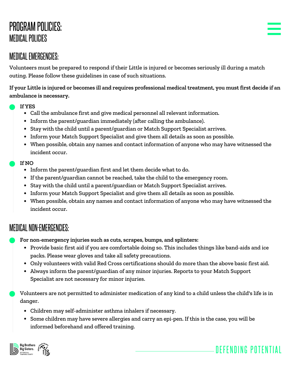# PROGRAM POLICIES: MEDICALPOLICIES

### MEDICALEMERGENCIES:

Volunteers must be prepared to respond if their Little is injured or becomes seriously ill during a match outing. Please follow these guidelines in case of such situations.

If your Little is injured or becomes ill and requires professional medical treatment, you must first decide if an **ambulance is necessary.**

#### **If YES**

- Call the ambulance first and give medical personnel all relevant information.
- Inform the parent/guardian immediately (after calling the ambulance).
- Stay with the child until a parent/guardian or Match Support Specialist arrives.
- Inform your Match Support Specialist and give them all details as soon as possible.
- When possible, obtain any names and contact information of anyone who may have witnessed the incident occur.

#### **If NO**

- Inform the parent/guardian first and let them decide what to do.
- If the parent/guardian cannot be reached, take the child to the emergency room.
- Stay with the child until a parent/guardian or Match Support Specialist arrives.
- Inform your Match Support Specialist and give them all details as soon as possible.
- When possible, obtain any names and contact information of anyone who may have witnessed the incident occur.

#### MEDICAL NON-EMERGENCIES:

- **For non-emergency injuries such as cuts, scrapes, bumps, and splinters:**
	- Provide basic first aid if you are comfortable doing so. This includes things like band-aids and ice packs. Please wear gloves and take all safety precautions.
	- Only volunteers with valid Red Cross certifications should do more than the above basic first aid.
	- Always inform the parent/guardian of any minor injuries. Reports to your Match Support Specialist are not necessary for minor injuries.

Volunteers are not permitted to administer medication of any kind to a child unless the child's life is in danger.

- Children may self-administer asthma inhalers if necessary.
- Some children may have severe allergies and carry an epi-pen. If this is the case, you will be informed beforehand and offered training.

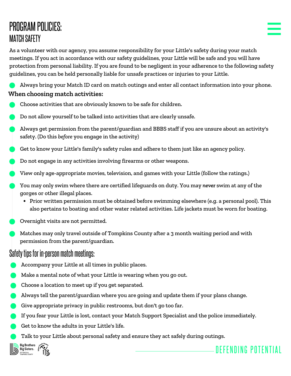# PROGRAM POLICIES: **MATCH SAFETY**

As a volunteer with our agency, you assume responsibility for your Little's safety during your match meetings. If you act in accordance with our safety guidelines, your Little will be safe and you will have protection from personal liability. If you are found to be negligent in your adherence to the following safety guidelines, you can be held personally liable for unsafe practices or injuries to your Little.

Always bring your Match ID card on match outings and enter all contact information into your phone. **When choosing match activities:**

- Choose activities that are obviously known to be safe for children.
- Do not allow yourself to be talked into activities that are clearly unsafe.
- Always get permission from the parent/guardian and BBBS staff if you are unsure about an activity's safety. (Do this *before* you engage in the activity)
- Get to know your Little's family's safety rules and adhere to them just like an agency policy.
- Do not engage in any activities involving firearms or other weapons.
- View only age-appropriate movies, television, and games with your Little (follow the ratings.)
- You may only swim where there are certified lifeguards on duty. You may *never* swim at any of the gorges or other illegal places.
	- Prior written permission must be obtained before swimming elsewhere (e.g. a personal pool). This also pertains to boating and other water related activities. Life jackets must be worn for boating.
- Overnight visits are not permitted.
- Matches may only travel outside of Tompkins County after a 3 month waiting period and with permission from the parent/guardian.

#### Safety tips for in-person match meetings:

- Accompany your Little at all times in public places.
- Make a mental note of what your Little is wearing when you go out.
- Choose a location to meet up if you get separated.
- Always tell the parent/guardian where you are going and update them if your plans change.
- Give appropriate privacy in public restrooms, but don't go too far.
- If you fear your Little is lost, contact your Match Support Specialist and the police immediately.

- Get to know the adults in your Little's life.
- Talk to your Little about personal safety and ensure they act safely during outings.

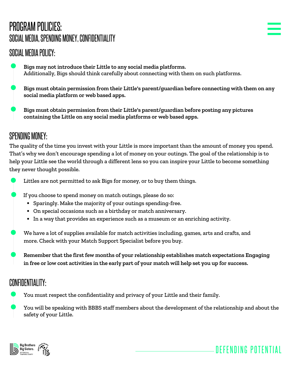# PROGRAM POLICIES: SOCIAL MEDIA, SPENDING MONEY, CONFIDENTIALITY

### SOCIAL MEDIA POLICY:

- **Bigs may not introduce their Little to any social media platforms.** Additionally, Bigs should think carefully about connecting with them on such platforms.
	- **Bigs must obtain permission from their Little's parent/guardian before connecting with them on any social media platform or web based apps.**
- **Bigs must obtain permission from their Little's parent/guardian before posting any pictures containing the Little on any social media platforms or web based apps.**

### SPENDING MONEY:

The quality of the time you invest with your Little is more important than the amount of money you spend. That's why we don't encourage spending a lot of money on your outings. The goal of the relationship is to help your Little see the world through a different lens so you can inspire your Little to become something they never thought possible.



If you choose to spend money on match outings, please do so:

- Sparingly. Make the majority of your outings spending-free.
- On special occasions such as a birthday or match anniversary.
- In a way that provides an experience such as a museum or an enriching activity.

We have a lot of supplies available for match activities including, games, arts and crafts, and more. Check with your Match Support Specialist before you buy.

**Remember that the first few months of your relationship establishes match expectations Engaging** in free or low cost activities in the early part of your match will help set you up for success.

### CONFIDENTIALITY:

You must respect the confidentiality and privacy of your Little and their family.

You will be speaking with BBBS staff members about the development of the relationship and about the safety of your Little.